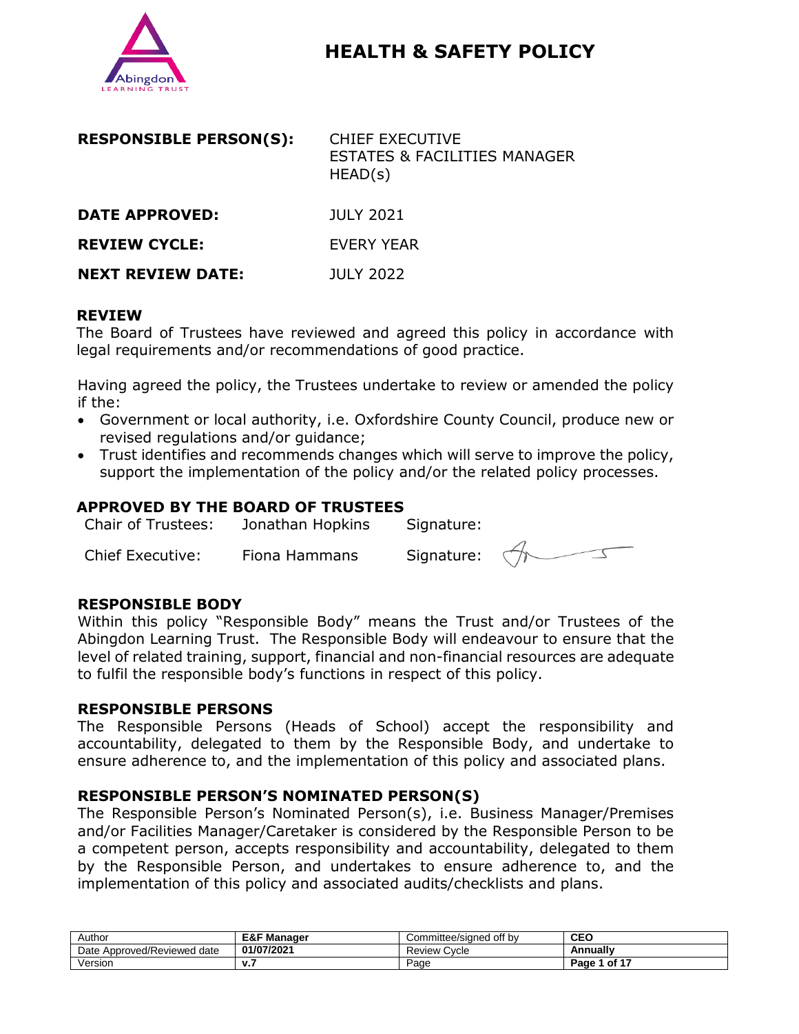

# **HEALTH & SAFETY POLICY**

| <b>RESPONSIBLE PERSON(S):</b> | <b>CHIEF EXECUTIVE</b><br><b>ESTATES &amp; FACILITIES MANAGER</b><br>HEAD(s) |
|-------------------------------|------------------------------------------------------------------------------|
| <b>DATE APPROVED:</b>         | JULY 2021                                                                    |
| <b>REVIEW CYCLE:</b>          | EVERY YEAR                                                                   |

**NEXT REVIEW DATE:** JULY 2022

#### **REVIEW**

The Board of Trustees have reviewed and agreed this policy in accordance with legal requirements and/or recommendations of good practice.

Having agreed the policy, the Trustees undertake to review or amended the policy if the:

- Government or local authority, i.e. Oxfordshire County Council, produce new or revised regulations and/or guidance;
- Trust identifies and recommends changes which will serve to improve the policy, support the implementation of the policy and/or the related policy processes.

#### **APPROVED BY THE BOARD OF TRUSTEES**

| <b>Chair of Trustees:</b> | Jonathan Hopkins | Signature: |         |
|---------------------------|------------------|------------|---------|
| <b>Chief Executive:</b>   | Fiona Hammans    | Signature: | $\prec$ |

#### **RESPONSIBLE BODY**

Within this policy "Responsible Body" means the Trust and/or Trustees of the Abingdon Learning Trust. The Responsible Body will endeavour to ensure that the level of related training, support, financial and non-financial resources are adequate to fulfil the responsible body's functions in respect of this policy.

#### **RESPONSIBLE PERSONS**

The Responsible Persons (Heads of School) accept the responsibility and accountability, delegated to them by the Responsible Body, and undertake to ensure adherence to, and the implementation of this policy and associated plans.

#### **RESPONSIBLE PERSON'S NOMINATED PERSON(S)**

The Responsible Person's Nominated Person(s), i.e. Business Manager/Premises and/or Facilities Manager/Caretaker is considered by the Responsible Person to be a competent person, accepts responsibility and accountability, delegated to them by the Responsible Person, and undertakes to ensure adherence to, and the implementation of this policy and associated audits/checklists and plans.

| Author                            | E&F M<br>Manager            | Committee/signed off by | <b>CEO</b>                  |
|-----------------------------------|-----------------------------|-------------------------|-----------------------------|
| Approved/Reviewed<br>date<br>Date | 01/07/2021                  | Cvcle<br>Review         | Annually                    |
| Versior                           | $\mathbf{v}$ . $\mathbf{r}$ | Page                    | $\overline{1}$ of 1<br>Page |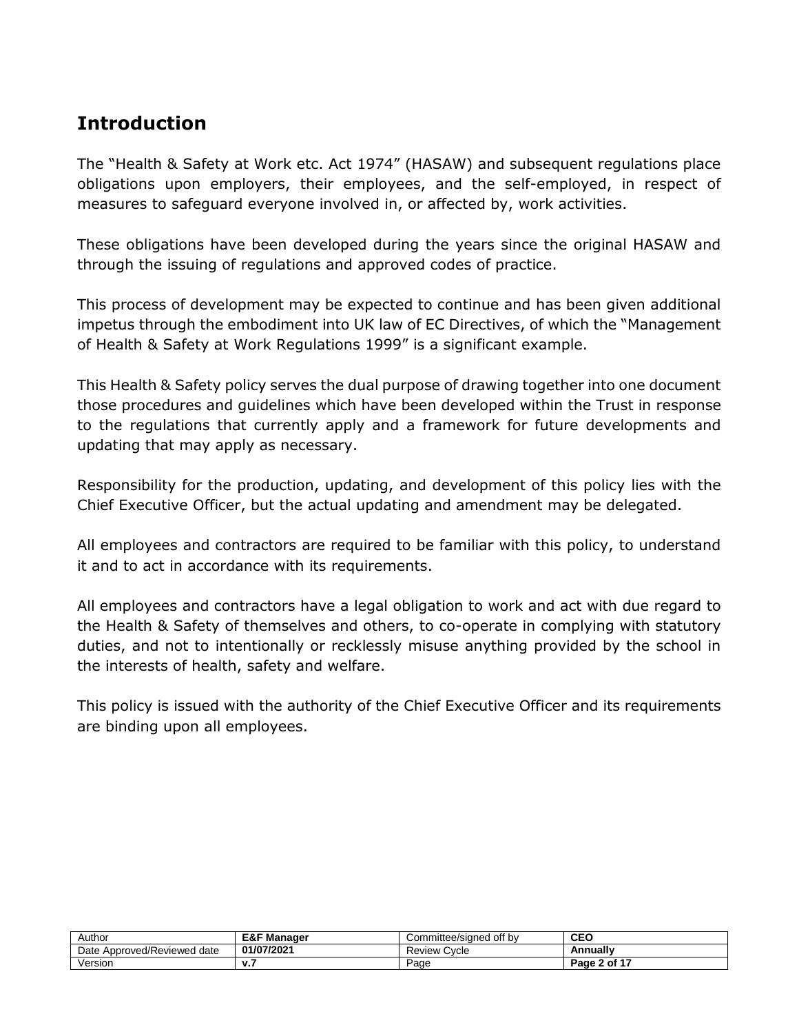# **Introduction**

The "Health & Safety at Work etc. Act 1974" (HASAW) and subsequent regulations place obligations upon employers, their employees, and the self-employed, in respect of measures to safeguard everyone involved in, or affected by, work activities.

These obligations have been developed during the years since the original HASAW and through the issuing of regulations and approved codes of practice.

This process of development may be expected to continue and has been given additional impetus through the embodiment into UK law of EC Directives, of which the "Management of Health & Safety at Work Regulations 1999" is a significant example.

This Health & Safety policy serves the dual purpose of drawing together into one document those procedures and guidelines which have been developed within the Trust in response to the regulations that currently apply and a framework for future developments and updating that may apply as necessary.

Responsibility for the production, updating, and development of this policy lies with the Chief Executive Officer, but the actual updating and amendment may be delegated.

All employees and contractors are required to be familiar with this policy, to understand it and to act in accordance with its requirements.

All employees and contractors have a legal obligation to work and act with due regard to the Health & Safety of themselves and others, to co-operate in complying with statutory duties, and not to intentionally or recklessly misuse anything provided by the school in the interests of health, safety and welfare.

This policy is issued with the authority of the Chief Executive Officer and its requirements are binding upon all employees.

| Author                            | <b>E&amp;F Manager</b> | off by<br>Committee/sianed | <b>CEO</b>   |
|-----------------------------------|------------------------|----------------------------|--------------|
| Approved/Reviewed<br>Date<br>date | 01/07/2021             | Cycle<br>Review            | Annually     |
| Version                           | v.,                    | Page                       | Page 2 of 17 |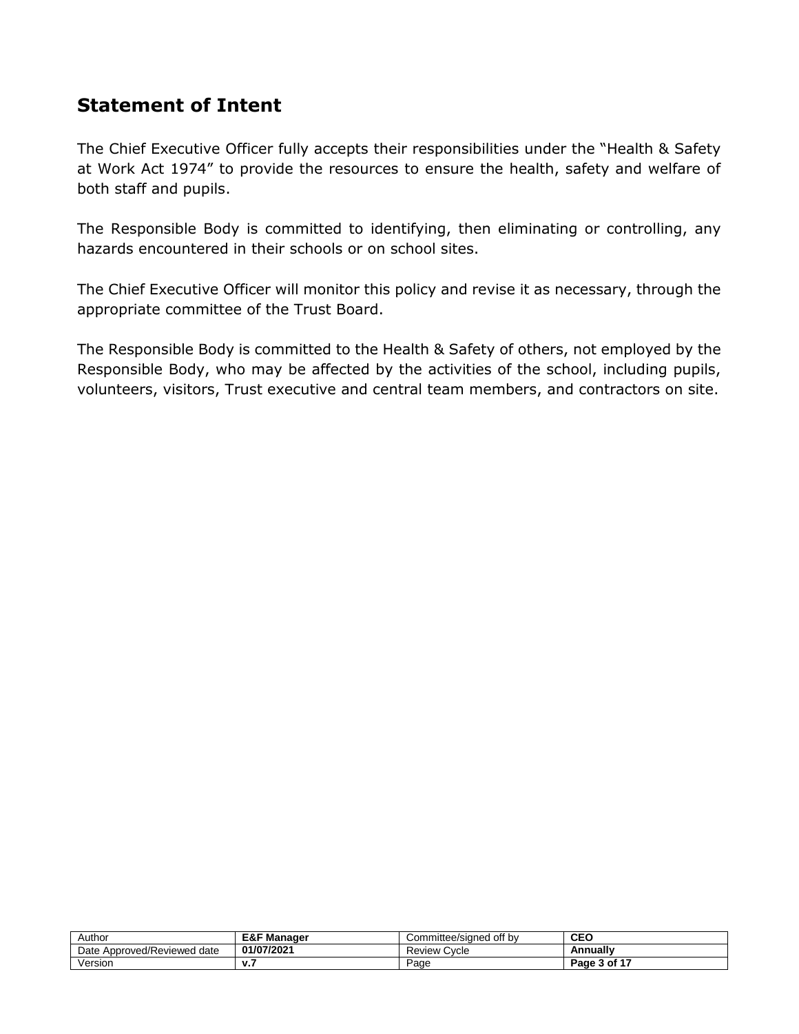# **Statement of Intent**

The Chief Executive Officer fully accepts their responsibilities under the "Health & Safety at Work Act 1974" to provide the resources to ensure the health, safety and welfare of both staff and pupils.

The Responsible Body is committed to identifying, then eliminating or controlling, any hazards encountered in their schools or on school sites.

The Chief Executive Officer will monitor this policy and revise it as necessary, through the appropriate committee of the Trust Board.

The Responsible Body is committed to the Health & Safety of others, not employed by the Responsible Body, who may be affected by the activities of the school, including pupils, volunteers, visitors, Trust executive and central team members, and contractors on site.

| Author                            | Manager<br>E&F | Committee/sianed off by:<br>ا∪ت | <b>CEO</b>   |
|-----------------------------------|----------------|---------------------------------|--------------|
| Approved/Reviewed<br>Date<br>date | 01/07/2021     | <b>Review</b><br><b>Cvcle</b>   | Annually     |
| Version                           | v.,            | Page                            | Page 3 of 17 |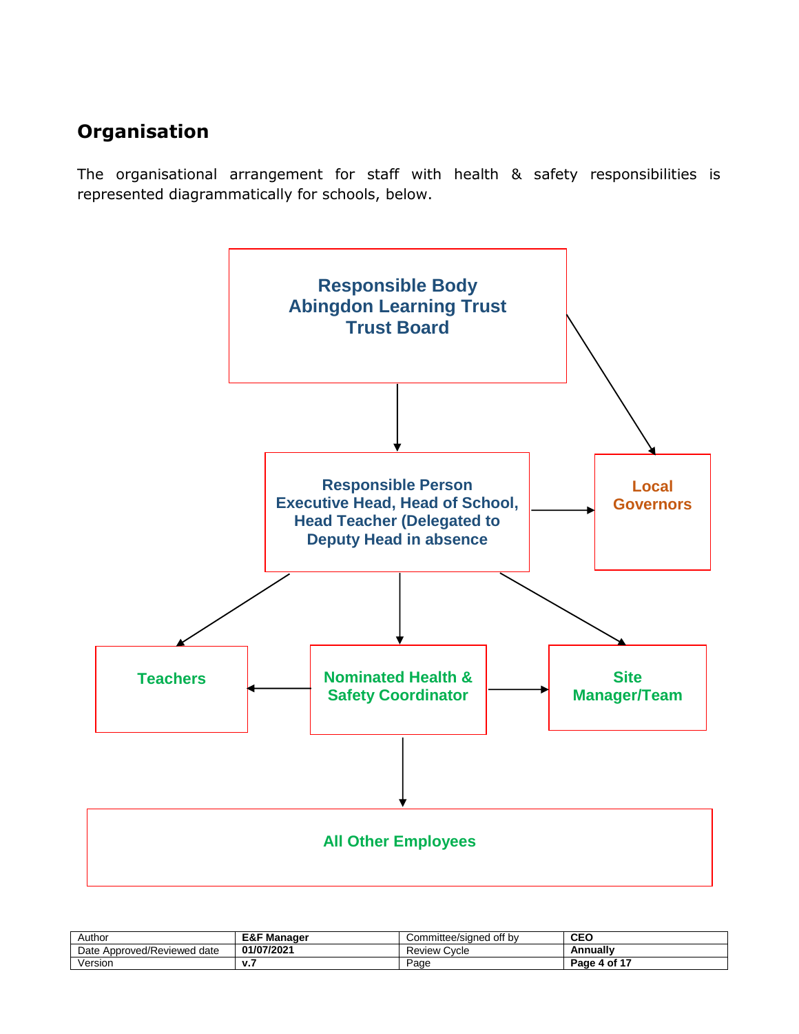# **Organisation**

The organisational arrangement for staff with health & safety responsibilities is represented diagrammatically for schools, below.



| Author                         | E&F<br>Manager | Committee/sianed off by | CEO          |
|--------------------------------|----------------|-------------------------|--------------|
| Approved/Reviewed date<br>Date | 01/07/2021     | <b>Review Cycle</b>     | Annually     |
| Version                        | v.,            | Page                    | Page 4 of 17 |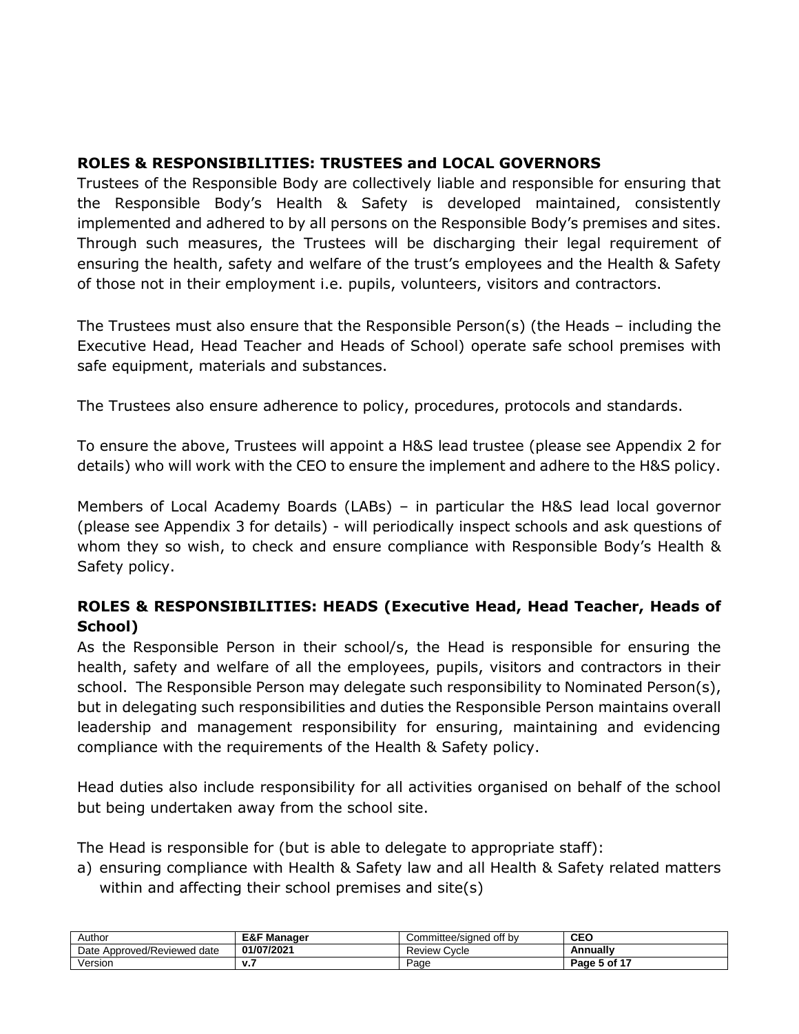### **ROLES & RESPONSIBILITIES: TRUSTEES and LOCAL GOVERNORS**

Trustees of the Responsible Body are collectively liable and responsible for ensuring that the Responsible Body's Health & Safety is developed maintained, consistently implemented and adhered to by all persons on the Responsible Body's premises and sites. Through such measures, the Trustees will be discharging their legal requirement of ensuring the health, safety and welfare of the trust's employees and the Health & Safety of those not in their employment i.e. pupils, volunteers, visitors and contractors.

The Trustees must also ensure that the Responsible Person(s) (the Heads – including the Executive Head, Head Teacher and Heads of School) operate safe school premises with safe equipment, materials and substances.

The Trustees also ensure adherence to policy, procedures, protocols and standards.

To ensure the above, Trustees will appoint a H&S lead trustee (please see Appendix 2 for details) who will work with the CEO to ensure the implement and adhere to the H&S policy.

Members of Local Academy Boards (LABs) – in particular the H&S lead local governor (please see Appendix 3 for details) - will periodically inspect schools and ask questions of whom they so wish, to check and ensure compliance with Responsible Body's Health & Safety policy.

## **ROLES & RESPONSIBILITIES: HEADS (Executive Head, Head Teacher, Heads of School)**

As the Responsible Person in their school/s, the Head is responsible for ensuring the health, safety and welfare of all the employees, pupils, visitors and contractors in their school. The Responsible Person may delegate such responsibility to Nominated Person(s), but in delegating such responsibilities and duties the Responsible Person maintains overall leadership and management responsibility for ensuring, maintaining and evidencing compliance with the requirements of the Health & Safety policy.

Head duties also include responsibility for all activities organised on behalf of the school but being undertaken away from the school site.

The Head is responsible for (but is able to delegate to appropriate staff):

a) ensuring compliance with Health & Safety law and all Health & Safety related matters within and affecting their school premises and site(s)

| Author                              | <b>E&amp;F Manager</b> | Committee/sianed off bv | <b>CEO</b>   |
|-------------------------------------|------------------------|-------------------------|--------------|
| Approved/Reviewed<br>Date<br>l date | 01/07/2021             | Review Cycle            | Annually     |
| Version                             | v.,                    | Page                    | Page 5 of 17 |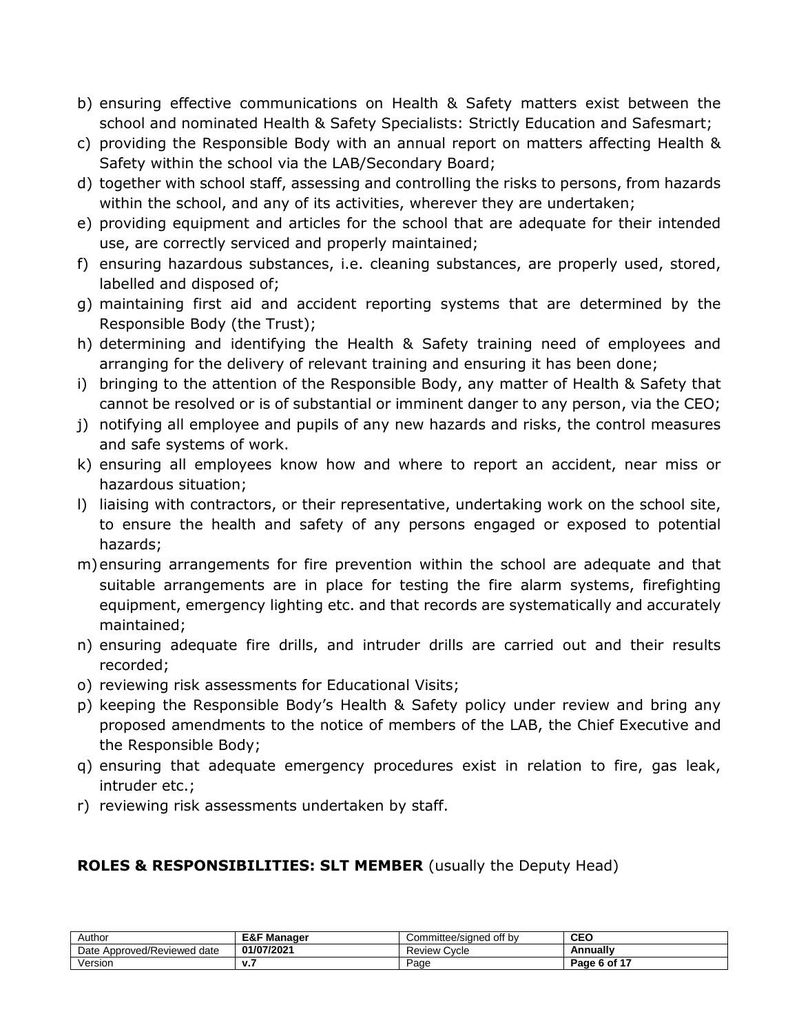- b) ensuring effective communications on Health & Safety matters exist between the school and nominated Health & Safety Specialists: Strictly Education and Safesmart;
- c) providing the Responsible Body with an annual report on matters affecting Health & Safety within the school via the LAB/Secondary Board;
- d) together with school staff, assessing and controlling the risks to persons, from hazards within the school, and any of its activities, wherever they are undertaken;
- e) providing equipment and articles for the school that are adequate for their intended use, are correctly serviced and properly maintained;
- f) ensuring hazardous substances, i.e. cleaning substances, are properly used, stored, labelled and disposed of;
- g) maintaining first aid and accident reporting systems that are determined by the Responsible Body (the Trust);
- h) determining and identifying the Health & Safety training need of employees and arranging for the delivery of relevant training and ensuring it has been done;
- i) bringing to the attention of the Responsible Body, any matter of Health & Safety that cannot be resolved or is of substantial or imminent danger to any person, via the CEO;
- j) notifying all employee and pupils of any new hazards and risks, the control measures and safe systems of work.
- k) ensuring all employees know how and where to report an accident, near miss or hazardous situation;
- l) liaising with contractors, or their representative, undertaking work on the school site, to ensure the health and safety of any persons engaged or exposed to potential hazards;
- m)ensuring arrangements for fire prevention within the school are adequate and that suitable arrangements are in place for testing the fire alarm systems, firefighting equipment, emergency lighting etc. and that records are systematically and accurately maintained;
- n) ensuring adequate fire drills, and intruder drills are carried out and their results recorded;
- o) reviewing risk assessments for Educational Visits;
- p) keeping the Responsible Body's Health & Safety policy under review and bring any proposed amendments to the notice of members of the LAB, the Chief Executive and the Responsible Body;
- q) ensuring that adequate emergency procedures exist in relation to fire, gas leak, intruder etc.;
- r) reviewing risk assessments undertaken by staff.

#### **ROLES & RESPONSIBILITIES: SLT MEMBER** (usually the Deputy Head)

| Author                         | <b>E&amp;F Manager</b> | off by<br>Committee/signed | <b>CEO</b>               |
|--------------------------------|------------------------|----------------------------|--------------------------|
| Approved/Reviewed date<br>Date | 01/07/2021             | Cycle<br>Review            | Annuallv                 |
| Version                        | v.,                    | Page                       | $-$ e 6 of 1 $-$<br>Page |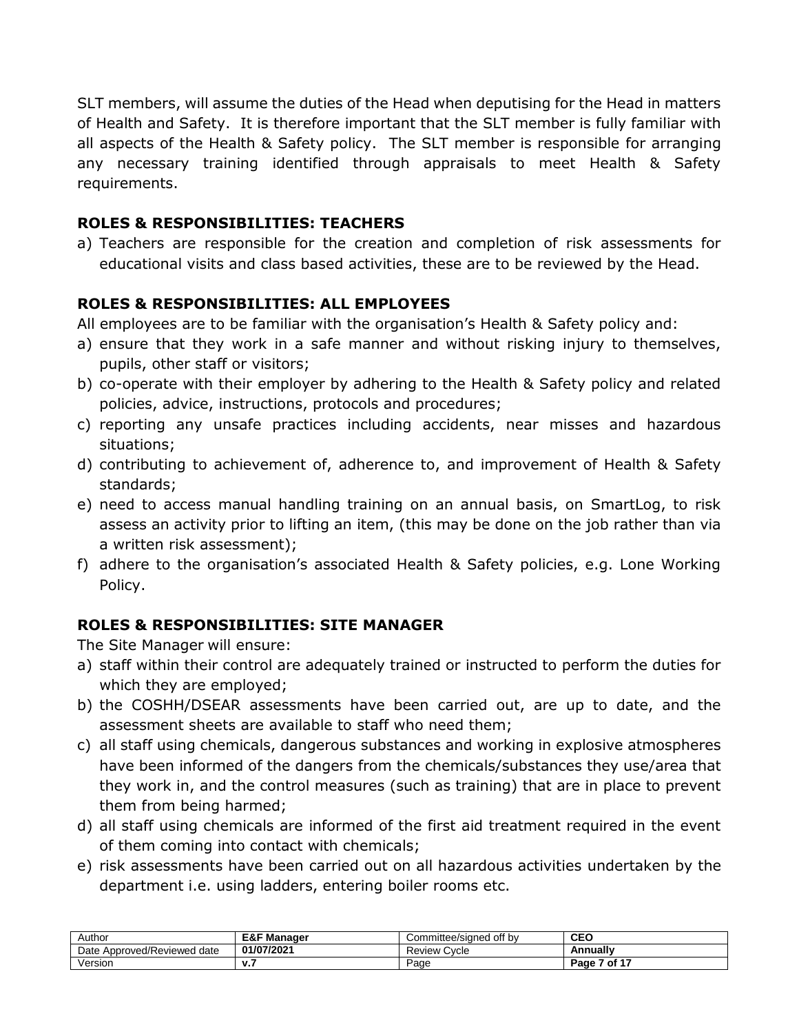SLT members, will assume the duties of the Head when deputising for the Head in matters of Health and Safety. It is therefore important that the SLT member is fully familiar with all aspects of the Health & Safety policy. The SLT member is responsible for arranging any necessary training identified through appraisals to meet Health & Safety requirements.

#### **ROLES & RESPONSIBILITIES: TEACHERS**

a) Teachers are responsible for the creation and completion of risk assessments for educational visits and class based activities, these are to be reviewed by the Head.

### **ROLES & RESPONSIBILITIES: ALL EMPLOYEES**

All employees are to be familiar with the organisation's Health & Safety policy and:

- a) ensure that they work in a safe manner and without risking injury to themselves, pupils, other staff or visitors;
- b) co-operate with their employer by adhering to the Health & Safety policy and related policies, advice, instructions, protocols and procedures;
- c) reporting any unsafe practices including accidents, near misses and hazardous situations;
- d) contributing to achievement of, adherence to, and improvement of Health & Safety standards;
- e) need to access manual handling training on an annual basis, on SmartLog, to risk assess an activity prior to lifting an item, (this may be done on the job rather than via a written risk assessment);
- f) adhere to the organisation's associated Health & Safety policies, e.g. Lone Working Policy.

#### **ROLES & RESPONSIBILITIES: SITE MANAGER**

The Site Manager will ensure:

- a) staff within their control are adequately trained or instructed to perform the duties for which they are employed;
- b) the COSHH/DSEAR assessments have been carried out, are up to date, and the assessment sheets are available to staff who need them;
- c) all staff using chemicals, dangerous substances and working in explosive atmospheres have been informed of the dangers from the chemicals/substances they use/area that they work in, and the control measures (such as training) that are in place to prevent them from being harmed;
- d) all staff using chemicals are informed of the first aid treatment required in the event of them coming into contact with chemicals;
- e) risk assessments have been carried out on all hazardous activities undertaken by the department i.e. using ladders, entering boiler rooms etc.

| Author                         | <b>E&amp;F Manager</b> | Committee/signed off by | <b>CEO</b>   |
|--------------------------------|------------------------|-------------------------|--------------|
| Approved/Reviewed date<br>Date | 01/07/2021             | <b>Review Cycle</b>     | Annually     |
| Version                        | v.,                    | Page                    | Page 7 of 17 |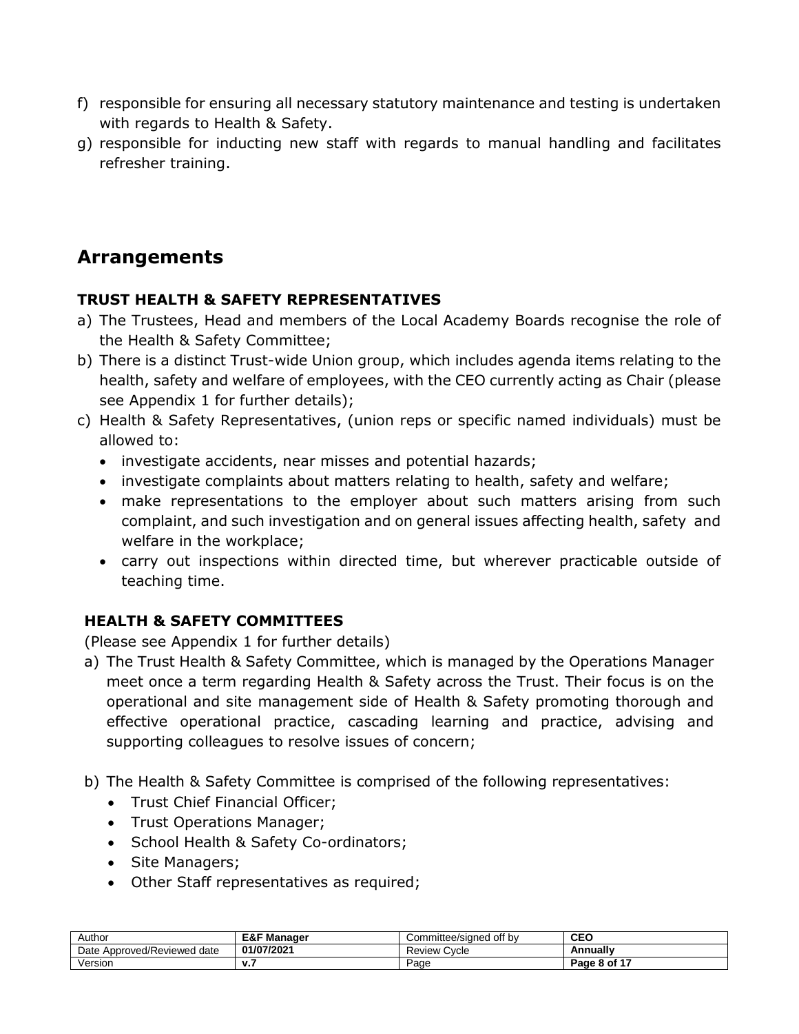- f) responsible for ensuring all necessary statutory maintenance and testing is undertaken with regards to Health & Safety.
- g) responsible for inducting new staff with regards to manual handling and facilitates refresher training.

# **Arrangements**

#### **TRUST HEALTH & SAFETY REPRESENTATIVES**

- a) The Trustees, Head and members of the Local Academy Boards recognise the role of the Health & Safety Committee;
- b) There is a distinct Trust-wide Union group, which includes agenda items relating to the health, safety and welfare of employees, with the CEO currently acting as Chair (please see Appendix 1 for further details);
- c) Health & Safety Representatives, (union reps or specific named individuals) must be allowed to:
	- investigate accidents, near misses and potential hazards;
	- investigate complaints about matters relating to health, safety and welfare;
	- make representations to the employer about such matters arising from such complaint, and such investigation and on general issues affecting health, safety and welfare in the workplace;
	- carry out inspections within directed time, but wherever practicable outside of teaching time.

## **HEALTH & SAFETY COMMITTEES**

(Please see Appendix 1 for further details)

- a) The Trust Health & Safety Committee, which is managed by the Operations Manager meet once a term regarding Health & Safety across the Trust. Their focus is on the operational and site management side of Health & Safety promoting thorough and effective operational practice, cascading learning and practice, advising and supporting colleagues to resolve issues of concern;
- b) The Health & Safety Committee is comprised of the following representatives:
	- Trust Chief Financial Officer;
	- Trust Operations Manager;
	- School Health & Safety Co-ordinators;
	- Site Managers;
	- Other Staff representatives as required;

| Author                         | <b>E&amp;F Manager</b> | Committee/signed off by | <b>CEO</b>   |
|--------------------------------|------------------------|-------------------------|--------------|
| Approved/Reviewed date<br>Date | 01/07/2021             | Cycle<br>Review         | Annuallv     |
| Version                        | v.,                    | Page                    | Page 8 of 17 |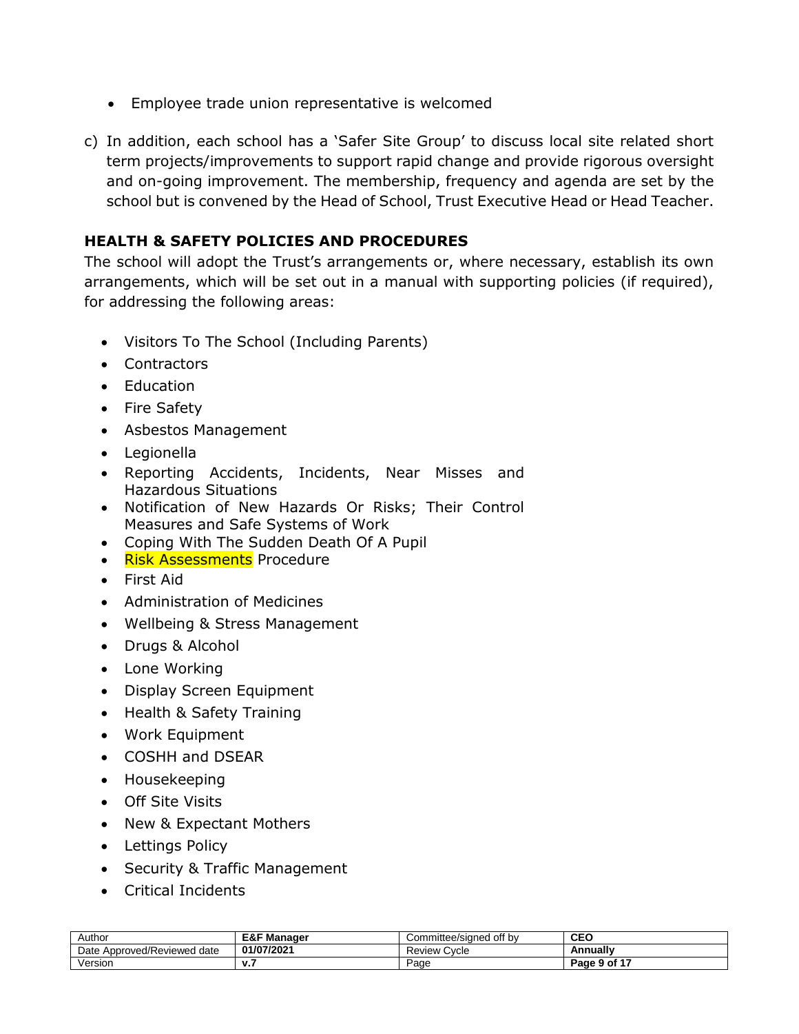- Employee trade union representative is welcomed
- c) In addition, each school has a 'Safer Site Group' to discuss local site related short term projects/improvements to support rapid change and provide rigorous oversight and on-going improvement. The membership, frequency and agenda are set by the school but is convened by the Head of School, Trust Executive Head or Head Teacher.

#### **HEALTH & SAFETY POLICIES AND PROCEDURES**

The school will adopt the Trust's arrangements or, where necessary, establish its own arrangements, which will be set out in a manual with supporting policies (if required), for addressing the following areas:

- Visitors To The School (Including Parents)
- Contractors
- Education
- Fire Safety
- Asbestos Management
- Legionella
- Reporting Accidents, Incidents, Near Misses and Hazardous Situations
- Notification of New Hazards Or Risks; Their Control Measures and Safe Systems of Work
- Coping With The Sudden Death Of A Pupil
- Risk Assessments Procedure
- First Aid
- Administration of Medicines
- Wellbeing & Stress Management
- Drugs & Alcohol
- Lone Working
- Display Screen Equipment
- Health & Safety Training
- Work Equipment
- COSHH and DSEAR
- Housekeeping
- Off Site Visits
- New & Expectant Mothers
- Lettings Policy
- Security & Traffic Management
- Critical Incidents

| Author                         | <b>E&amp;F Manager</b> | Committee/signed off by | <b>CEC</b>   |
|--------------------------------|------------------------|-------------------------|--------------|
| Approved/Reviewed date<br>Date | 01/07/2021             | <b>Review Cycle</b>     | Annually     |
| Version                        | . .                    | Page                    | Page 9 of 17 |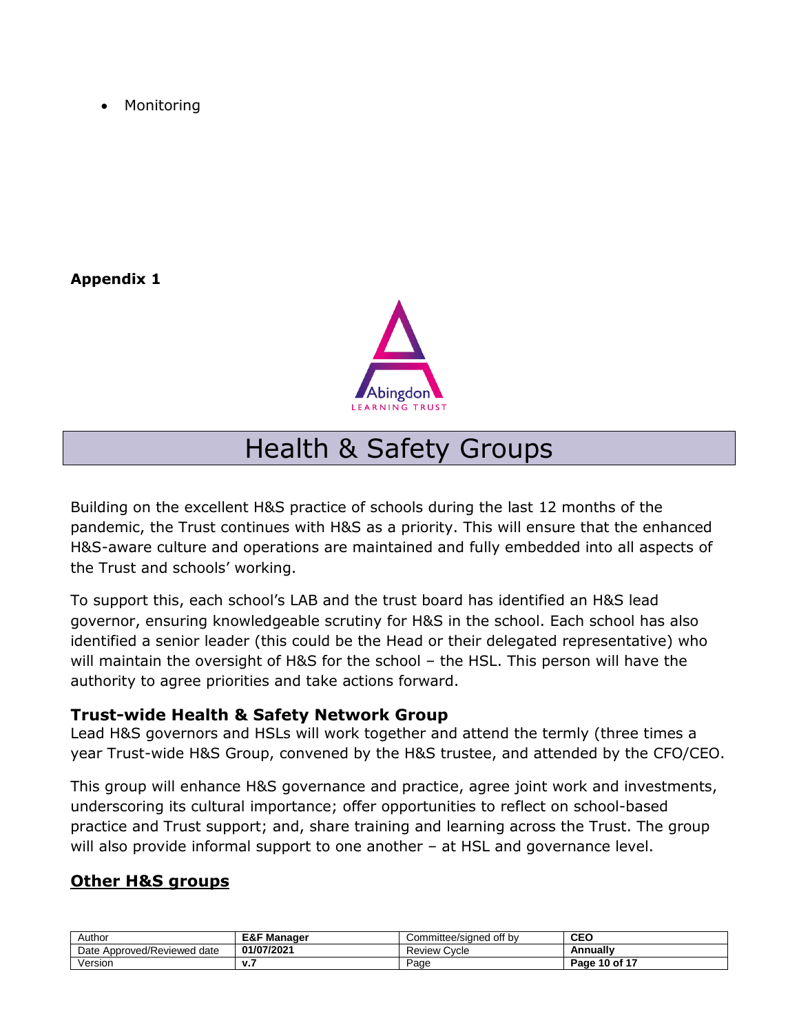Monitoring

### **Appendix 1**



# Health & Safety Groups

Building on the excellent H&S practice of schools during the last 12 months of the pandemic, the Trust continues with H&S as a priority. This will ensure that the enhanced H&S-aware culture and operations are maintained and fully embedded into all aspects of the Trust and schools' working.

To support this, each school's LAB and the trust board has identified an H&S lead governor, ensuring knowledgeable scrutiny for H&S in the school. Each school has also identified a senior leader (this could be the Head or their delegated representative) who will maintain the oversight of H&S for the school - the HSL. This person will have the authority to agree priorities and take actions forward.

#### **Trust-wide Health & Safety Network Group**

Lead H&S governors and HSLs will work together and attend the termly (three times a year Trust-wide H&S Group, convened by the H&S trustee, and attended by the CFO/CEO.

This group will enhance H&S governance and practice, agree joint work and investments, underscoring its cultural importance; offer opportunities to reflect on school-based practice and Trust support; and, share training and learning across the Trust. The group will also provide informal support to one another - at HSL and governance level.

## **Other H&S groups**

| Author                                   | E&F Manager | Committee/signed off by | <b>CEO</b>    |
|------------------------------------------|-------------|-------------------------|---------------|
| <b>Approved/Reviewed</b><br>Date<br>date | 01/07/2021  | Cycle<br>Review         | Annually      |
| √ersion                                  |             | Page                    | Page 10 of 17 |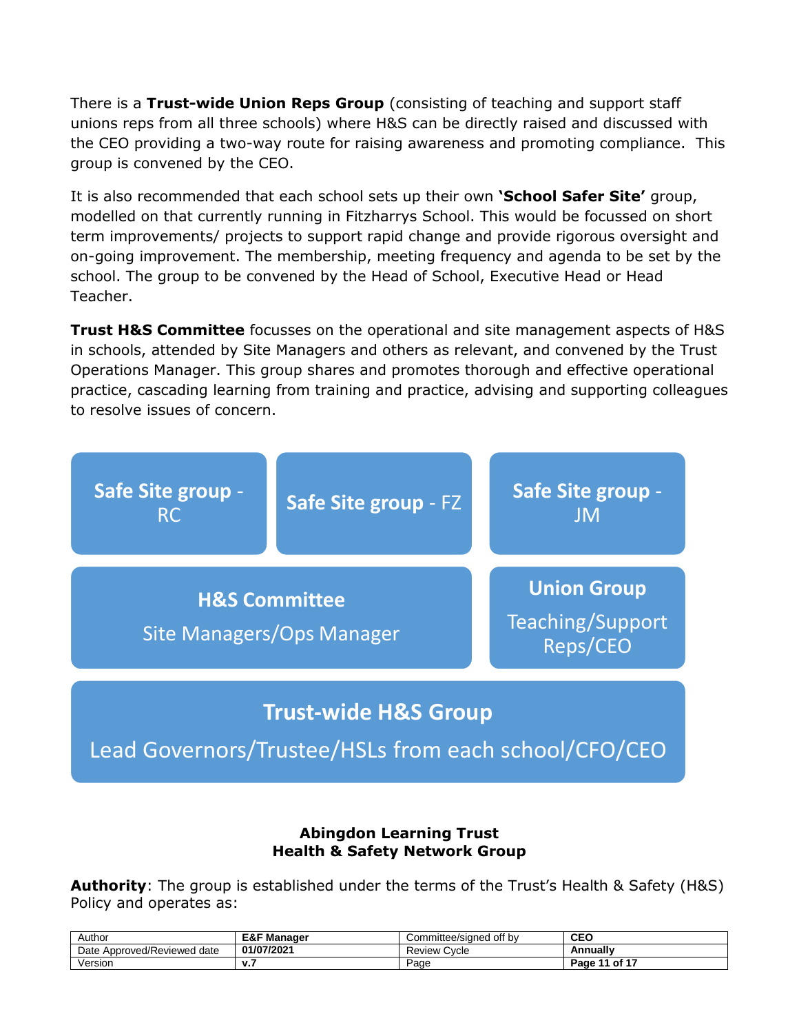There is a **Trust-wide Union Reps Group** (consisting of teaching and support staff unions reps from all three schools) where H&S can be directly raised and discussed with the CEO providing a two-way route for raising awareness and promoting compliance. This group is convened by the CEO.

It is also recommended that each school sets up their own **'School Safer Site'** group, modelled on that currently running in Fitzharrys School. This would be focussed on short term improvements/ projects to support rapid change and provide rigorous oversight and on-going improvement. The membership, meeting frequency and agenda to be set by the school. The group to be convened by the Head of School, Executive Head or Head Teacher.

**Trust H&S Committee** focusses on the operational and site management aspects of H&S in schools, attended by Site Managers and others as relevant, and convened by the Trust Operations Manager. This group shares and promotes thorough and effective operational practice, cascading learning from training and practice, advising and supporting colleagues to resolve issues of concern.



#### **Abingdon Learning Trust Health & Safety Network Group**

**Authority**: The group is established under the terms of the Trust's Health & Safety (H&S) Policy and operates as:

| Author                                    | 下 Manaαer<br>ᆮᇰᆮ<br>⊏&r | Committee/signed off by | <b>CEO</b>                  |
|-------------------------------------------|-------------------------|-------------------------|-----------------------------|
| <b>Approved/Reviewed</b><br>Date<br>⊦date | 01/07/2021              | Review \<br>Cycle       | Annually                    |
| /ersion                                   | v.,                     | Page                    | $\cdot$ of $4^-$<br>Page 11 |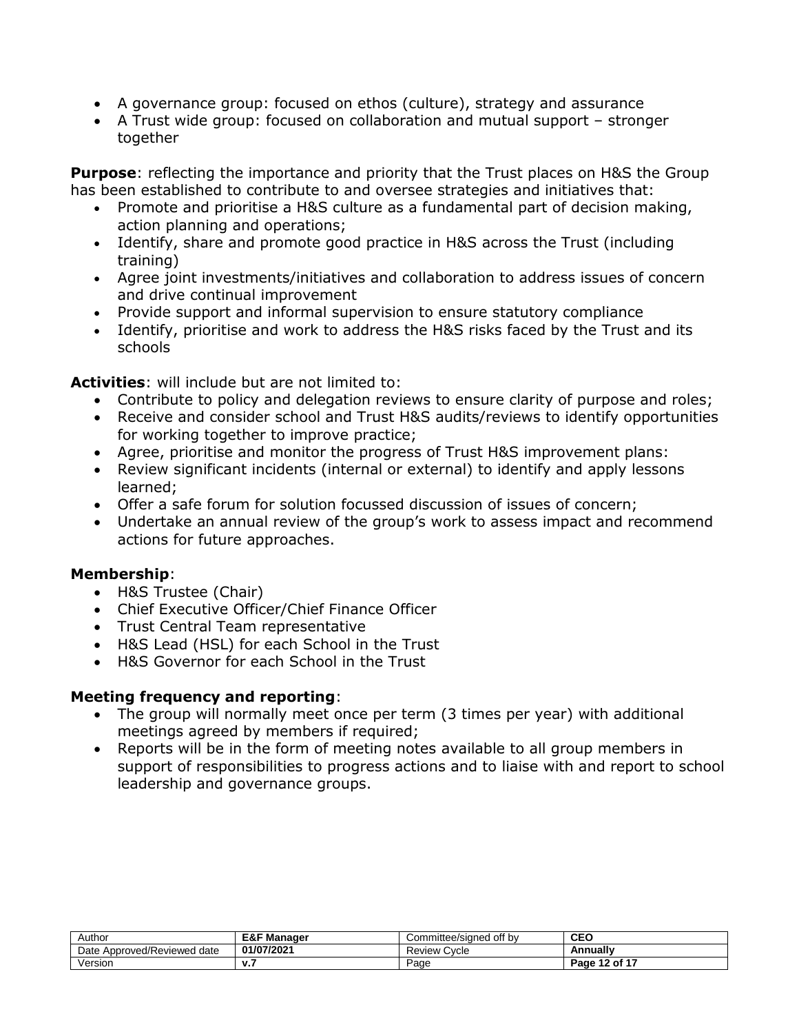- A governance group: focused on ethos (culture), strategy and assurance
- A Trust wide group: focused on collaboration and mutual support stronger together

**Purpose**: reflecting the importance and priority that the Trust places on H&S the Group has been established to contribute to and oversee strategies and initiatives that:

- Promote and prioritise a H&S culture as a fundamental part of decision making, action planning and operations;
- Identify, share and promote good practice in H&S across the Trust (including training)
- Agree joint investments/initiatives and collaboration to address issues of concern and drive continual improvement
- Provide support and informal supervision to ensure statutory compliance
- Identify, prioritise and work to address the H&S risks faced by the Trust and its schools

**Activities**: will include but are not limited to:

- Contribute to policy and delegation reviews to ensure clarity of purpose and roles;
- Receive and consider school and Trust H&S audits/reviews to identify opportunities for working together to improve practice;
- Agree, prioritise and monitor the progress of Trust H&S improvement plans:
- Review significant incidents (internal or external) to identify and apply lessons learned;
- Offer a safe forum for solution focussed discussion of issues of concern;
- Undertake an annual review of the group's work to assess impact and recommend actions for future approaches.

#### **Membership**:

- H&S Trustee (Chair)
- Chief Executive Officer/Chief Finance Officer
- Trust Central Team representative
- H&S Lead (HSL) for each School in the Trust
- H&S Governor for each School in the Trust

#### **Meeting frequency and reporting**:

- The group will normally meet once per term (3 times per year) with additional meetings agreed by members if required;
- Reports will be in the form of meeting notes available to all group members in support of responsibilities to progress actions and to liaise with and report to school leadership and governance groups.

| Author                              | <b>E&amp;F Manager</b> | Committee/sianed off bv: | <b>CEO</b>       |
|-------------------------------------|------------------------|--------------------------|------------------|
| Approved/Reviewed<br>Date<br>l date | 01/07/2021             | Cycle<br>Review          | Annually         |
| Version                             | v. 1                   | Paɑe                     | of 17<br>Page 12 |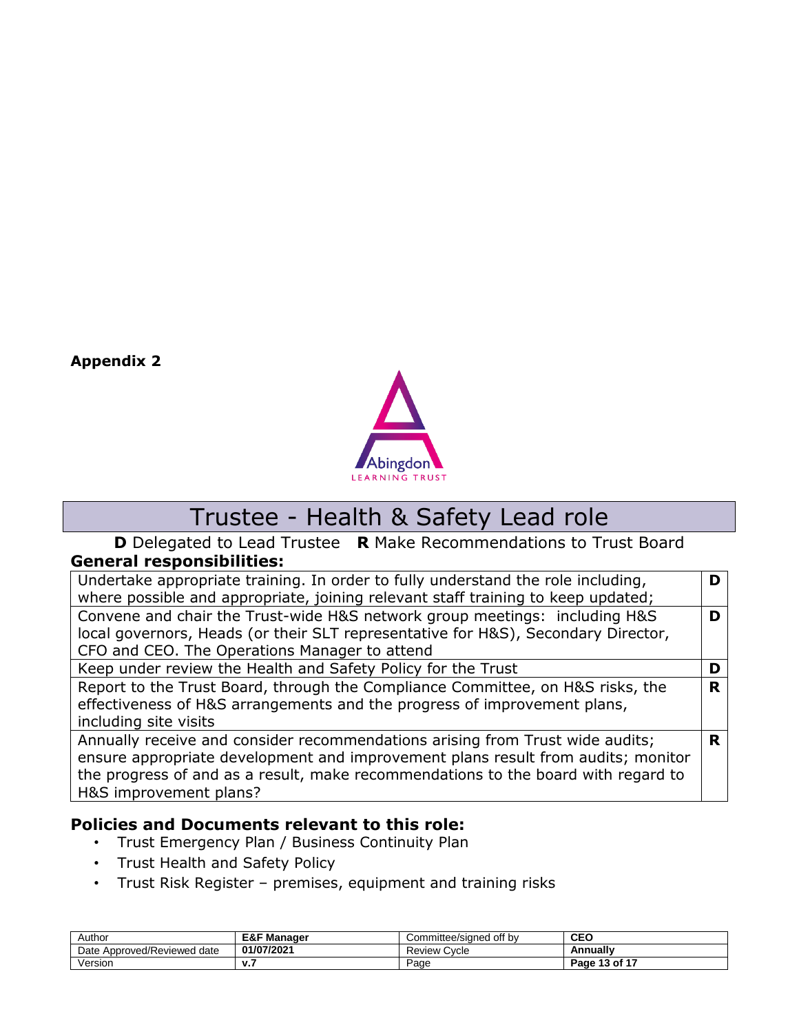**Appendix 2**



# Trustee - Health & Safety Lead role

**D** Delegated to Lead Trustee **R** Make Recommendations to Trust Board **General responsibilities:**

| Undertake appropriate training. In order to fully understand the role including,  |   |
|-----------------------------------------------------------------------------------|---|
| where possible and appropriate, joining relevant staff training to keep updated;  |   |
| Convene and chair the Trust-wide H&S network group meetings: including H&S        | D |
| local governors, Heads (or their SLT representative for H&S), Secondary Director, |   |
| CFO and CEO. The Operations Manager to attend                                     |   |
| Keep under review the Health and Safety Policy for the Trust                      | D |
| Report to the Trust Board, through the Compliance Committee, on H&S risks, the    | R |
| effectiveness of H&S arrangements and the progress of improvement plans,          |   |
| including site visits                                                             |   |
| Annually receive and consider recommendations arising from Trust wide audits;     | R |
| ensure appropriate development and improvement plans result from audits; monitor  |   |
| the progress of and as a result, make recommendations to the board with regard to |   |
| H&S improvement plans?                                                            |   |

#### **Policies and Documents relevant to this role:**

- Trust Emergency Plan / Business Continuity Plan
- Trust Health and Safety Policy
- Trust Risk Register premises, equipment and training risks

| Author                            | <b>E&amp;F Manager</b> | off by<br>Committee/sianed | <b>CEC</b>         |
|-----------------------------------|------------------------|----------------------------|--------------------|
| Approved/Reviewed<br>Date<br>date | 01/07/2021             | <b>Review Cycle</b>        | Annually           |
| Version                           | ,,,                    | Page                       | of 17 ،<br>Page 13 |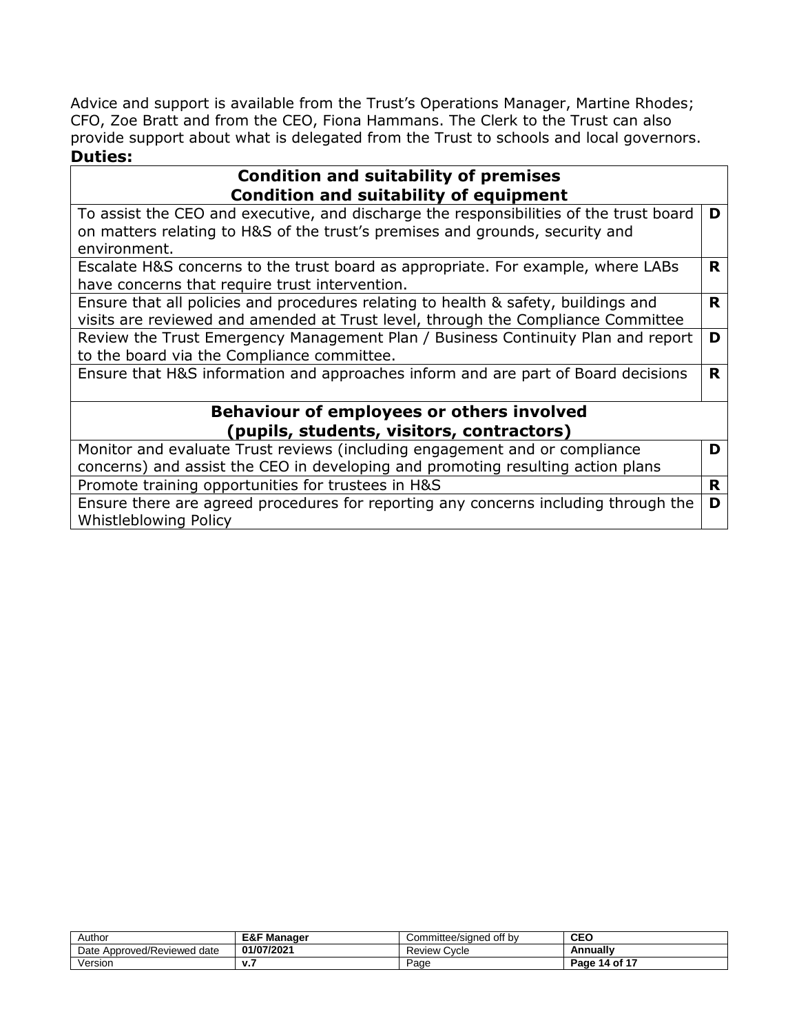Advice and support is available from the Trust's Operations Manager, Martine Rhodes; CFO, Zoe Bratt and from the CEO, Fiona Hammans. The Clerk to the Trust can also provide support about what is delegated from the Trust to schools and local governors. **Duties:**

#### **Condition and suitability of premises Condition and suitability of equipment**

| Condition and suitability of equipment                                                 |    |
|----------------------------------------------------------------------------------------|----|
| To assist the CEO and executive, and discharge the responsibilities of the trust board | D  |
| on matters relating to H&S of the trust's premises and grounds, security and           |    |
| environment.                                                                           |    |
| Escalate H&S concerns to the trust board as appropriate. For example, where LABs       | R. |
| have concerns that require trust intervention.                                         |    |
| Ensure that all policies and procedures relating to health & safety, buildings and     | R  |
| visits are reviewed and amended at Trust level, through the Compliance Committee       |    |
| Review the Trust Emergency Management Plan / Business Continuity Plan and report       | D  |
| to the board via the Compliance committee.                                             |    |
| Ensure that H&S information and approaches inform and are part of Board decisions      | R. |
|                                                                                        |    |
| Behaviour of employees or others involved                                              |    |
| (pupils, students, visitors, contractors)                                              |    |
| Monitor and evaluate Trust reviews (including engagement and or compliance             | D  |
| concerns) and assist the CEO in developing and promoting resulting action plans        |    |
| Dramata training appartunities for trustees in HQC                                     | D  |

Promote training opportunities for trustees in H&S **R** Ensure there are agreed procedures for reporting any concerns including through the Whistleblowing Policy **D**

| Author                            | <b>E&amp;F Manager</b> | Committee/signed off by | CEO           |
|-----------------------------------|------------------------|-------------------------|---------------|
| Approved/Reviewed<br>Date<br>date | 01/07/2021             | Review C<br>Cycle       | Annually      |
| Version                           | . .                    | Page                    | Page 14 of 17 |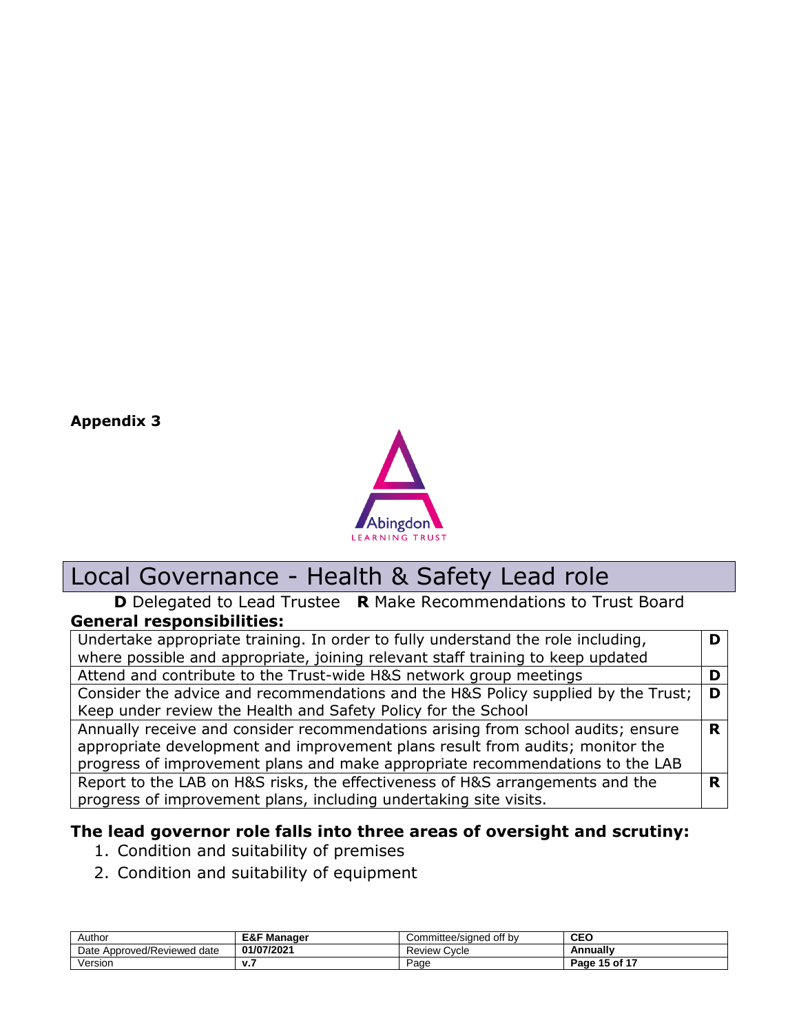**Appendix 3**



# Local Governance - Health & Safety Lead role

#### **D** Delegated to Lead Trustee **R** Make Recommendations to Trust Board **General responsibilities:**

| Undertake appropriate training. In order to fully understand the role including,  |   |
|-----------------------------------------------------------------------------------|---|
| where possible and appropriate, joining relevant staff training to keep updated   |   |
| Attend and contribute to the Trust-wide H&S network group meetings                |   |
| Consider the advice and recommendations and the H&S Policy supplied by the Trust; | D |
| Keep under review the Health and Safety Policy for the School                     |   |
| Annually receive and consider recommendations arising from school audits; ensure  | R |
| appropriate development and improvement plans result from audits; monitor the     |   |
| progress of improvement plans and make appropriate recommendations to the LAB     |   |
| Report to the LAB on H&S risks, the effectiveness of H&S arrangements and the     |   |
| progress of improvement plans, including undertaking site visits.                 |   |

## **The lead governor role falls into three areas of oversight and scrutiny:**

- 1. Condition and suitability of premises
- 2. Condition and suitability of equipment

| Author                              | <b>E&amp;F Manager</b> | Committee/sianed off bv | <b>CEO</b>    |
|-------------------------------------|------------------------|-------------------------|---------------|
| Approved/Reviewed<br>Date<br>l date | 01/07/2021             | <b>Review Cycle</b>     | Annually      |
| Version                             | v.,                    | Page                    | Page 15 of 17 |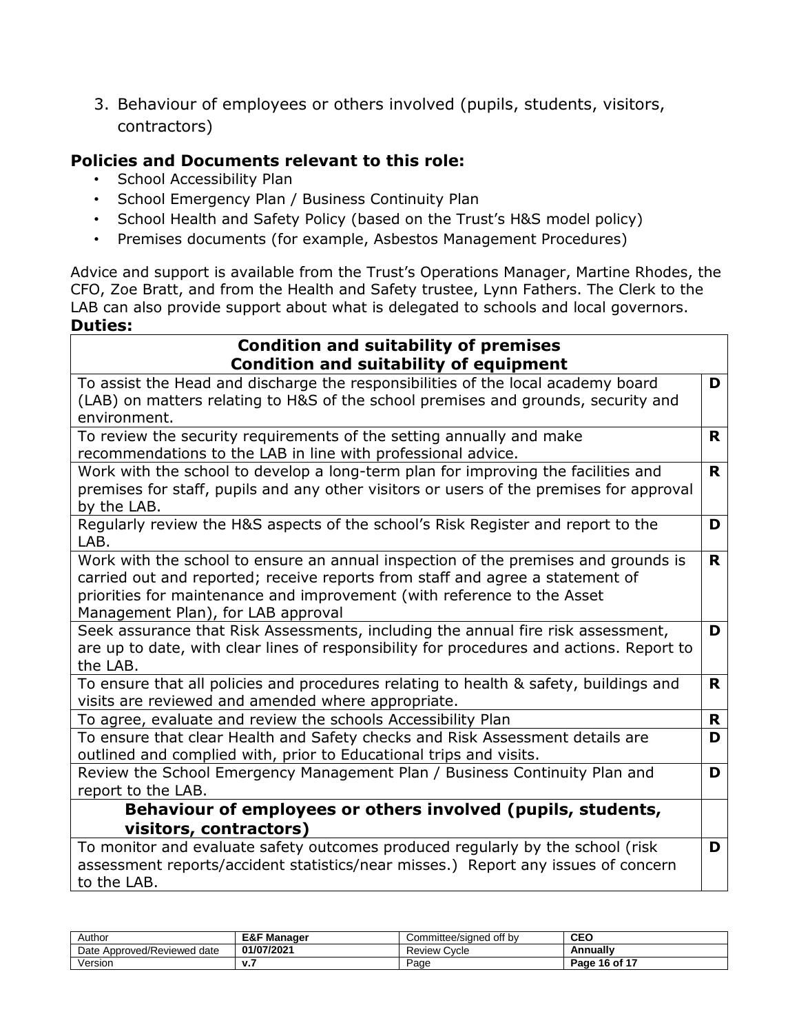3. Behaviour of employees or others involved (pupils, students, visitors, contractors)

## **Policies and Documents relevant to this role:**

- School Accessibility Plan
- School Emergency Plan / Business Continuity Plan
- School Health and Safety Policy (based on the Trust's H&S model policy)
- Premises documents (for example, Asbestos Management Procedures)

Advice and support is available from the Trust's Operations Manager, Martine Rhodes, the CFO, Zoe Bratt, and from the Health and Safety trustee, Lynn Fathers. The Clerk to the LAB can also provide support about what is delegated to schools and local governors. **Duties:**

#### **Condition and suitability of premises Condition and suitability of equipment**

| condition and suitability of equipment                                                                                                      |    |
|---------------------------------------------------------------------------------------------------------------------------------------------|----|
| To assist the Head and discharge the responsibilities of the local academy board                                                            | D  |
| (LAB) on matters relating to H&S of the school premises and grounds, security and                                                           |    |
| environment.                                                                                                                                |    |
| To review the security requirements of the setting annually and make                                                                        | R. |
| recommendations to the LAB in line with professional advice.                                                                                |    |
| Work with the school to develop a long-term plan for improving the facilities and                                                           | R. |
| premises for staff, pupils and any other visitors or users of the premises for approval<br>by the LAB.                                      |    |
| Regularly review the H&S aspects of the school's Risk Register and report to the<br>LAB.                                                    | D  |
| Work with the school to ensure an annual inspection of the premises and grounds is                                                          | R. |
| carried out and reported; receive reports from staff and agree a statement of                                                               |    |
| priorities for maintenance and improvement (with reference to the Asset                                                                     |    |
| Management Plan), for LAB approval                                                                                                          |    |
| Seek assurance that Risk Assessments, including the annual fire risk assessment,                                                            | D  |
| are up to date, with clear lines of responsibility for procedures and actions. Report to                                                    |    |
| the LAB.                                                                                                                                    |    |
| To ensure that all policies and procedures relating to health & safety, buildings and<br>visits are reviewed and amended where appropriate. | R. |
| To agree, evaluate and review the schools Accessibility Plan                                                                                | R  |
| To ensure that clear Health and Safety checks and Risk Assessment details are                                                               | D  |
| outlined and complied with, prior to Educational trips and visits.                                                                          |    |
| Review the School Emergency Management Plan / Business Continuity Plan and                                                                  | D  |
| report to the LAB.                                                                                                                          |    |
| Behaviour of employees or others involved (pupils, students,                                                                                |    |
| visitors, contractors)                                                                                                                      |    |
| To monitor and evaluate safety outcomes produced regularly by the school (risk                                                              | D  |
| assessment reports/accident statistics/near misses.) Report any issues of concern                                                           |    |
| to the LAB.                                                                                                                                 |    |

| Author                           | <b>E&amp;F Manager</b> | Committee/sianed off bv | <b>CEO</b>    |
|----------------------------------|------------------------|-------------------------|---------------|
| . Approved/Reviewed date<br>Date | 01/07/2021             | <b>Review Cycle</b>     | Annually      |
| Version                          | v.,                    | Page                    | Page 16 of 17 |